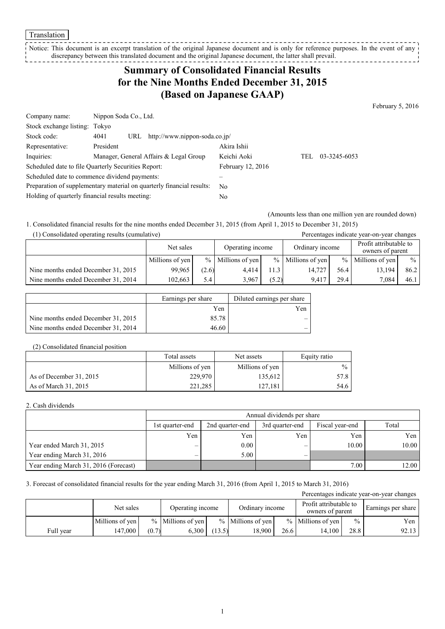Translation

Notice: This document is an excerpt translation of the original Japanese document and is only for reference purposes. In the event of any discrepancy between this translated document and the original Japanese document, the latter shall prevail.

## **Summary of Consolidated Financial Results for the Nine Months Ended December 31, 2015 (Based on Japanese GAAP)**

February 5, 2016

| Company name:                                   | Nippon Soda Co., Ltd.                                                 |                   |      |              |
|-------------------------------------------------|-----------------------------------------------------------------------|-------------------|------|--------------|
| Stock exchange listing: Tokyo                   |                                                                       |                   |      |              |
| Stock code:                                     | http://www.nippon-soda.co.jp/<br>4041<br>URL                          |                   |      |              |
| Representative:                                 | President                                                             | Akira Ishii       |      |              |
| Inquiries:                                      | Manager, General Affairs & Legal Group                                | Keichi Aoki       | TEL. | 03-3245-6053 |
|                                                 | Scheduled date to file Quarterly Securities Report:                   | February 12, 2016 |      |              |
|                                                 | Scheduled date to commence dividend payments:                         |                   |      |              |
|                                                 | Preparation of supplementary material on quarterly financial results: | N <sub>0</sub>    |      |              |
| Holding of quarterly financial results meeting: |                                                                       | No                |      |              |

(Amounts less than one million yen are rounded down)

Percentages indicate year-on-year changes

1. Consolidated financial results for the nine months ended December 31, 2015 (from April 1, 2015 to December 31, 2015)

| (1) Consolidated operating results (cumulative) |  |
|-------------------------------------------------|--|
|-------------------------------------------------|--|

|                                     | Net sales       |       | Operating income    |       | Ordinary income     |      | Profit attributable to<br>owners of parent |               |
|-------------------------------------|-----------------|-------|---------------------|-------|---------------------|------|--------------------------------------------|---------------|
|                                     | Millions of yen |       | $%$ Millions of yen |       | $%$ Millions of yen | $\%$ | Millions of yen                            | $\frac{0}{0}$ |
| Nine months ended December 31, 2015 | 99,965          | (2.6) | 4.414               | 11.3  | 14.727              | 56.4 | 13,194                                     | 86.2          |
| Nine months ended December 31, 2014 | 102.663         | 5.4   | 3.967               | (5.2) | 9.417               | 29.4 | 7.084                                      | 46.1          |

|                                     | Earnings per share | Diluted earnings per share |
|-------------------------------------|--------------------|----------------------------|
|                                     | Yen                | Yen                        |
| Nine months ended December 31, 2015 | 85.78              |                            |
| Nine months ended December 31, 2014 | 46.60              |                            |

#### (2) Consolidated financial position

|                         | Total assets    | Net assets      | Equity ratio  |
|-------------------------|-----------------|-----------------|---------------|
|                         | Millions of yen | Millions of yen | $\frac{0}{0}$ |
| As of December 31, 2015 | 229,970         | 135,612         | 57.8          |
| As of March 31, 2015    | 221.285         | 127,181         | 54.6          |

#### 2. Cash dividends

|                                       |                 | Annual dividends per share                                     |     |       |       |  |  |  |
|---------------------------------------|-----------------|----------------------------------------------------------------|-----|-------|-------|--|--|--|
|                                       | 1st quarter-end | Total<br>2nd quarter-end<br>3rd quarter-end<br>Fiscal year-end |     |       |       |  |  |  |
|                                       | Yen             | Yen                                                            | Yen | Yen   | Yen   |  |  |  |
| Year ended March 31, 2015             |                 | 0.00                                                           |     | 10.00 | 10.00 |  |  |  |
| Year ending March 31, 2016            |                 | 5.00                                                           | -   |       |       |  |  |  |
| Year ending March 31, 2016 (Forecast) |                 |                                                                |     | 7.00  | 12.00 |  |  |  |

### 3. Forecast of consolidated financial results for the year ending March 31, 2016 (from April 1, 2015 to March 31, 2016)

| Percentages indicate year-on-year changes |                               |       |                     |        |                     |      |                                            |               |                    |
|-------------------------------------------|-------------------------------|-------|---------------------|--------|---------------------|------|--------------------------------------------|---------------|--------------------|
|                                           | Net sales<br>Operating income |       |                     |        | Ordinary income     |      | Profit attributable to<br>owners of parent |               | Earnings per share |
|                                           | Millions of yen               |       | $%$ Millions of yen |        | $%$ Millions of yen |      | $%$ Millions of yen                        | $\frac{0}{0}$ | Yen                |
| Full year                                 | 147.000                       | (0.7) | 6.300               | (13.5) | 18.900              | 26.6 | 14.100                                     | 28.8          | 92.13              |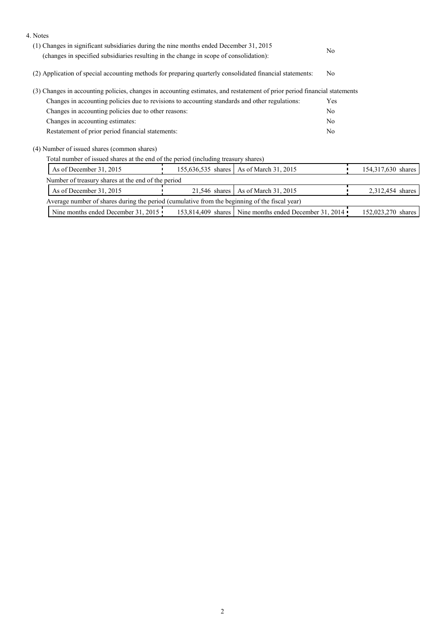| 4. Notes                                                                                                                                                                         |                 |                                                          |                |                    |  |
|----------------------------------------------------------------------------------------------------------------------------------------------------------------------------------|-----------------|----------------------------------------------------------|----------------|--------------------|--|
| (1) Changes in significant subsidiaries during the nine months ended December 31, 2015<br>(changes in specified subsidiaries resulting in the change in scope of consolidation): |                 |                                                          | N <sub>0</sub> |                    |  |
| (2) Application of special accounting methods for preparing quarterly consolidated financial statements:                                                                         |                 |                                                          | N <sub>0</sub> |                    |  |
| (3) Changes in accounting policies, changes in accounting estimates, and restatement of prior period financial statements                                                        |                 |                                                          |                |                    |  |
| Changes in accounting policies due to revisions to accounting standards and other regulations:                                                                                   |                 |                                                          | Yes            |                    |  |
| Changes in accounting policies due to other reasons:                                                                                                                             |                 |                                                          | No             |                    |  |
| Changes in accounting estimates:                                                                                                                                                 |                 |                                                          | N <sub>0</sub> |                    |  |
| Restatement of prior period financial statements:                                                                                                                                |                 |                                                          | No             |                    |  |
| (4) Number of issued shares (common shares)                                                                                                                                      |                 |                                                          |                |                    |  |
| Total number of issued shares at the end of the period (including treasury shares)                                                                                               |                 |                                                          |                |                    |  |
| As of December 31, 2015                                                                                                                                                          |                 | 155,636,535 shares   As of March 31, 2015                |                | 154,317,630 shares |  |
| Number of treasury shares at the end of the period                                                                                                                               |                 |                                                          |                |                    |  |
| As of December 31, 2015                                                                                                                                                          | $21,546$ shares | As of March 31, 2015                                     |                | 2,312,454 shares   |  |
| Average number of shares during the period (cumulative from the beginning of the fiscal year)                                                                                    |                 |                                                          |                |                    |  |
| Nine months ended December 31, 2015                                                                                                                                              |                 | 153,814,409 shares   Nine months ended December 31, 2014 |                | 152,023,270 shares |  |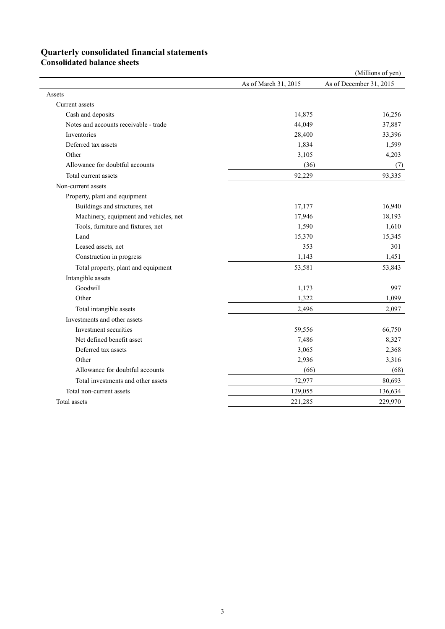# **Quarterly consolidated financial statements**

**Consolidated balance sheets** 

|                                        |                      | (Millions of yen)       |
|----------------------------------------|----------------------|-------------------------|
|                                        | As of March 31, 2015 | As of December 31, 2015 |
| Assets                                 |                      |                         |
| Current assets                         |                      |                         |
| Cash and deposits                      | 14,875               | 16,256                  |
| Notes and accounts receivable - trade  | 44,049               | 37,887                  |
| Inventories                            | 28,400               | 33,396                  |
| Deferred tax assets                    | 1,834                | 1,599                   |
| Other                                  | 3,105                | 4,203                   |
| Allowance for doubtful accounts        | (36)                 | (7)                     |
| Total current assets                   | 92,229               | 93,335                  |
| Non-current assets                     |                      |                         |
| Property, plant and equipment          |                      |                         |
| Buildings and structures, net          | 17,177               | 16,940                  |
| Machinery, equipment and vehicles, net | 17,946               | 18,193                  |
| Tools, furniture and fixtures, net     | 1,590                | 1,610                   |
| Land                                   | 15,370               | 15,345                  |
| Leased assets, net                     | 353                  | 301                     |
| Construction in progress               | 1,143                | 1,451                   |
| Total property, plant and equipment    | 53,581               | 53,843                  |
| Intangible assets                      |                      |                         |
| Goodwill                               | 1,173                | 997                     |
| Other                                  | 1,322                | 1,099                   |
| Total intangible assets                | 2,496                | 2,097                   |
| Investments and other assets           |                      |                         |
| Investment securities                  | 59,556               | 66,750                  |
| Net defined benefit asset              | 7,486                | 8,327                   |
| Deferred tax assets                    | 3,065                | 2,368                   |
| Other                                  | 2,936                | 3,316                   |
| Allowance for doubtful accounts        | (66)                 | (68)                    |
| Total investments and other assets     | 72,977               | 80,693                  |
| Total non-current assets               | 129,055              | 136,634                 |
| Total assets                           | 221,285              | 229,970                 |
|                                        |                      |                         |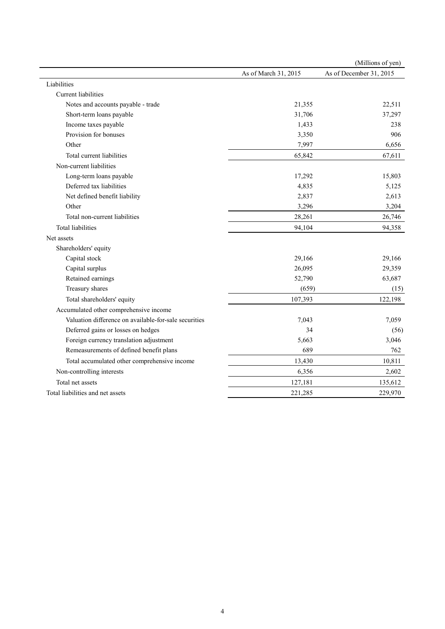|                                                       |                      | (Millions of yen)       |
|-------------------------------------------------------|----------------------|-------------------------|
|                                                       | As of March 31, 2015 | As of December 31, 2015 |
| Liabilities                                           |                      |                         |
| Current liabilities                                   |                      |                         |
| Notes and accounts payable - trade                    | 21,355               | 22,511                  |
| Short-term loans payable                              | 31,706               | 37,297                  |
| Income taxes payable                                  | 1,433                | 238                     |
| Provision for bonuses                                 | 3,350                | 906                     |
| Other                                                 | 7,997                | 6,656                   |
| Total current liabilities                             | 65,842               | 67,611                  |
| Non-current liabilities                               |                      |                         |
| Long-term loans payable                               | 17,292               | 15,803                  |
| Deferred tax liabilities                              | 4,835                | 5,125                   |
| Net defined benefit liability                         | 2,837                | 2,613                   |
| Other                                                 | 3,296                | 3,204                   |
| Total non-current liabilities                         | 28,261               | 26,746                  |
| <b>Total liabilities</b>                              | 94,104               | 94,358                  |
| Net assets                                            |                      |                         |
| Shareholders' equity                                  |                      |                         |
| Capital stock                                         | 29,166               | 29,166                  |
| Capital surplus                                       | 26,095               | 29,359                  |
| Retained earnings                                     | 52,790               | 63,687                  |
| Treasury shares                                       | (659)                | (15)                    |
| Total shareholders' equity                            | 107,393              | 122,198                 |
| Accumulated other comprehensive income                |                      |                         |
| Valuation difference on available-for-sale securities | 7,043                | 7,059                   |
| Deferred gains or losses on hedges                    | 34                   | (56)                    |
| Foreign currency translation adjustment               | 5,663                | 3,046                   |
| Remeasurements of defined benefit plans               | 689                  | 762                     |
| Total accumulated other comprehensive income          | 13,430               | 10,811                  |
| Non-controlling interests                             | 6,356                | 2,602                   |
| Total net assets                                      | 127,181              | 135,612                 |
| Total liabilities and net assets                      | 221,285              | 229,970                 |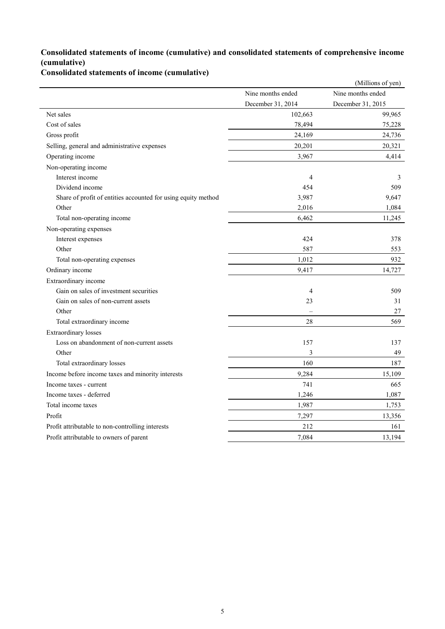### **Consolidated statements of income (cumulative) and consolidated statements of comprehensive income (cumulative)**

**Consolidated statements of income (cumulative)**

|                                                               |                   | (Millions of yen) |
|---------------------------------------------------------------|-------------------|-------------------|
|                                                               | Nine months ended | Nine months ended |
|                                                               | December 31, 2014 | December 31, 2015 |
| Net sales                                                     | 102,663           | 99,965            |
| Cost of sales                                                 | 78,494            | 75,228            |
| Gross profit                                                  | 24,169            | 24,736            |
| Selling, general and administrative expenses                  | 20,201            | 20,321            |
| Operating income                                              | 3,967             | 4,414             |
| Non-operating income                                          |                   |                   |
| Interest income                                               | 4                 | 3                 |
| Dividend income                                               | 454               | 509               |
| Share of profit of entities accounted for using equity method | 3,987             | 9,647             |
| Other                                                         | 2,016             | 1,084             |
| Total non-operating income                                    | 6,462             | 11,245            |
| Non-operating expenses                                        |                   |                   |
| Interest expenses                                             | 424               | 378               |
| Other                                                         | 587               | 553               |
| Total non-operating expenses                                  | 1,012             | 932               |
| Ordinary income                                               | 9,417             | 14,727            |
| Extraordinary income                                          |                   |                   |
| Gain on sales of investment securities                        | 4                 | 509               |
| Gain on sales of non-current assets                           | 23                | 31                |
| Other                                                         |                   | 27                |
| Total extraordinary income                                    | 28                | 569               |
| <b>Extraordinary losses</b>                                   |                   |                   |
| Loss on abandonment of non-current assets                     | 157               | 137               |
| Other                                                         | 3                 | 49                |
| Total extraordinary losses                                    | 160               | 187               |
| Income before income taxes and minority interests             | 9,284             | 15,109            |
| Income taxes - current                                        | 741               | 665               |
| Income taxes - deferred                                       | 1,246             | 1,087             |
| Total income taxes                                            | 1,987             | 1,753             |
| Profit                                                        | 7,297             | 13,356            |
| Profit attributable to non-controlling interests              | 212               | 161               |
| Profit attributable to owners of parent                       | 7,084             | 13,194            |